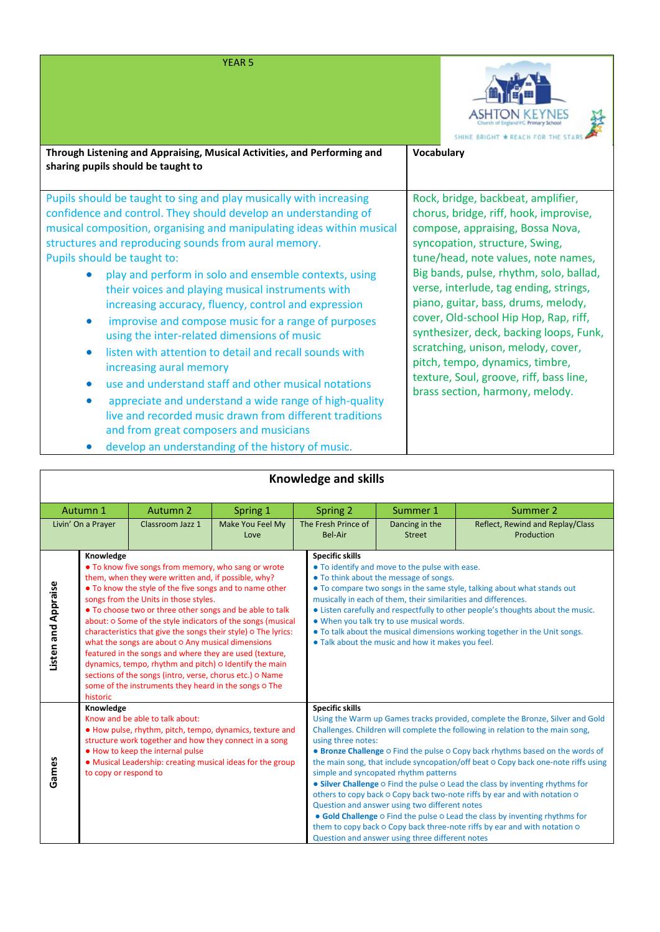| <b>YEAR 5</b>                                                                                                                                                                                                                                                                                                                                                                                                                                                                                                                                                                                                                                                                                                                                                                                                                                                                                                           | SHINE BRIGHT * REACH FOR THE                                                                                                                                                                                                                                                                                                                                                                                                                                                                                                                                     |
|-------------------------------------------------------------------------------------------------------------------------------------------------------------------------------------------------------------------------------------------------------------------------------------------------------------------------------------------------------------------------------------------------------------------------------------------------------------------------------------------------------------------------------------------------------------------------------------------------------------------------------------------------------------------------------------------------------------------------------------------------------------------------------------------------------------------------------------------------------------------------------------------------------------------------|------------------------------------------------------------------------------------------------------------------------------------------------------------------------------------------------------------------------------------------------------------------------------------------------------------------------------------------------------------------------------------------------------------------------------------------------------------------------------------------------------------------------------------------------------------------|
| Through Listening and Appraising, Musical Activities, and Performing and<br>sharing pupils should be taught to                                                                                                                                                                                                                                                                                                                                                                                                                                                                                                                                                                                                                                                                                                                                                                                                          | Vocabulary                                                                                                                                                                                                                                                                                                                                                                                                                                                                                                                                                       |
| Pupils should be taught to sing and play musically with increasing<br>confidence and control. They should develop an understanding of<br>musical composition, organising and manipulating ideas within musical<br>structures and reproducing sounds from aural memory.<br>Pupils should be taught to:<br>play and perform in solo and ensemble contexts, using<br>their voices and playing musical instruments with<br>increasing accuracy, fluency, control and expression<br>improvise and compose music for a range of purposes<br>$\bullet$<br>using the inter-related dimensions of music<br>listen with attention to detail and recall sounds with<br>$\bullet$<br>increasing aural memory<br>use and understand staff and other musical notations<br>appreciate and understand a wide range of high-quality<br>live and recorded music drawn from different traditions<br>and from great composers and musicians | Rock, bridge, backbeat, amplifier,<br>chorus, bridge, riff, hook, improvise,<br>compose, appraising, Bossa Nova,<br>syncopation, structure, Swing,<br>tune/head, note values, note names,<br>Big bands, pulse, rhythm, solo, ballad,<br>verse, interlude, tag ending, strings,<br>piano, guitar, bass, drums, melody,<br>cover, Old-school Hip Hop, Rap, riff,<br>synthesizer, deck, backing loops, Funk,<br>scratching, unison, melody, cover,<br>pitch, tempo, dynamics, timbre,<br>texture, Soul, groove, riff, bass line,<br>brass section, harmony, melody. |

| • develop an understanding of the history of music. |  |  |  |
|-----------------------------------------------------|--|--|--|
|-----------------------------------------------------|--|--|--|

| <b>Knowledge and skills</b>                                                                                                                                                                                                                                                                                                                                                                                                                                                                                                                                                                                                                                                                                                                                |                    |                                              |                                                                                                                                           |                                                                                                                                                                                                                                                                                                                                                                                                                                                                                                                                                                                                                                                                 |                                                                                                                                                                                                                                          |                                                |
|------------------------------------------------------------------------------------------------------------------------------------------------------------------------------------------------------------------------------------------------------------------------------------------------------------------------------------------------------------------------------------------------------------------------------------------------------------------------------------------------------------------------------------------------------------------------------------------------------------------------------------------------------------------------------------------------------------------------------------------------------------|--------------------|----------------------------------------------|-------------------------------------------------------------------------------------------------------------------------------------------|-----------------------------------------------------------------------------------------------------------------------------------------------------------------------------------------------------------------------------------------------------------------------------------------------------------------------------------------------------------------------------------------------------------------------------------------------------------------------------------------------------------------------------------------------------------------------------------------------------------------------------------------------------------------|------------------------------------------------------------------------------------------------------------------------------------------------------------------------------------------------------------------------------------------|------------------------------------------------|
| Autumn 2<br>Autumn 1<br>Spring 1                                                                                                                                                                                                                                                                                                                                                                                                                                                                                                                                                                                                                                                                                                                           |                    |                                              | Spring 2                                                                                                                                  | Summer 1                                                                                                                                                                                                                                                                                                                                                                                                                                                                                                                                                                                                                                                        | Summer 2                                                                                                                                                                                                                                 |                                                |
|                                                                                                                                                                                                                                                                                                                                                                                                                                                                                                                                                                                                                                                                                                                                                            | Livin' On a Prayer | Classroom Jazz 1                             | Make You Feel My<br>Love                                                                                                                  | The Fresh Prince of<br><b>Bel-Air</b>                                                                                                                                                                                                                                                                                                                                                                                                                                                                                                                                                                                                                           | Dancing in the<br><b>Street</b>                                                                                                                                                                                                          | Reflect, Rewind and Replay/Class<br>Production |
| Knowledge<br>• To know five songs from memory, who sang or wrote<br>them, when they were written and, if possible, why?<br>Listen and Appraise<br>• To know the style of the five songs and to name other<br>songs from the Units in those styles.<br>• To choose two or three other songs and be able to talk<br>about: o Some of the style indicators of the songs (musical<br>characteristics that give the songs their style) o The lyrics:<br>what the songs are about o Any musical dimensions<br>featured in the songs and where they are used (texture,<br>dynamics, tempo, rhythm and pitch) o Identify the main<br>sections of the songs (intro, verse, chorus etc.) o Name<br>some of the instruments they heard in the songs o The<br>historic |                    |                                              | <b>Specific skills</b>                                                                                                                    | • To identify and move to the pulse with ease.<br>• To think about the message of songs.<br>musically in each of them, their similarities and differences.<br>. When you talk try to use musical words.<br>. Talk about the music and how it makes you feel.                                                                                                                                                                                                                                                                                                                                                                                                    | • To compare two songs in the same style, talking about what stands out<br>• Listen carefully and respectfully to other people's thoughts about the music.<br>• To talk about the musical dimensions working together in the Unit songs. |                                                |
| Knowledge<br>Know and be able to talk about:<br>. How pulse, rhythm, pitch, tempo, dynamics, texture and<br>structure work together and how they connect in a song<br>• How to keep the internal pulse<br>Games<br>• Musical Leadership: creating musical ideas for the group<br>to copy or respond to                                                                                                                                                                                                                                                                                                                                                                                                                                                     |                    | <b>Specific skills</b><br>using three notes: | simple and syncopated rhythm patterns<br>Question and answer using two different notes<br>Question and answer using three different notes | Using the Warm up Games tracks provided, complete the Bronze, Silver and Gold<br>Challenges. Children will complete the following in relation to the main song,<br>• Bronze Challenge o Find the pulse o Copy back rhythms based on the words of<br>the main song, that include syncopation/off beat o Copy back one-note riffs using<br>• Silver Challenge O Find the pulse O Lead the class by inventing rhythms for<br>others to copy back o Copy back two-note riffs by ear and with notation o<br>• Gold Challenge o Find the pulse o Lead the class by inventing rhythms for<br>them to copy back o Copy back three-note riffs by ear and with notation o |                                                                                                                                                                                                                                          |                                                |